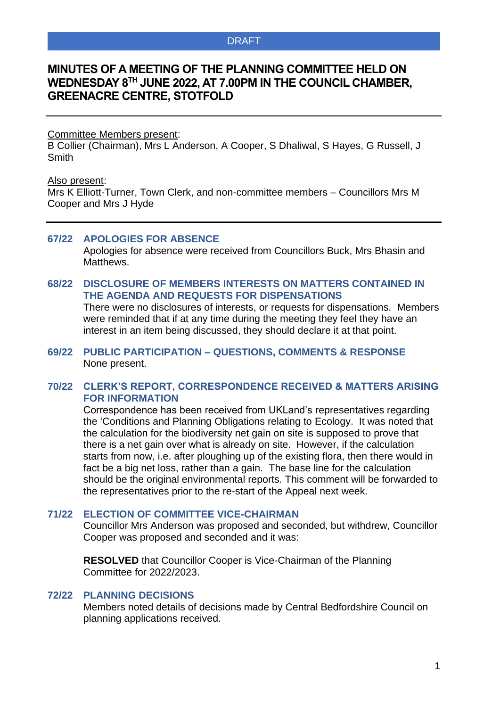# **MINUTES OF A MEETING OF THE PLANNING COMMITTEE HELD ON WEDNESDAY 8 TH JUNE 2022, AT 7.00PM IN THE COUNCIL CHAMBER, GREENACRE CENTRE, STOTFOLD**

#### Committee Members present:

B Collier (Chairman), Mrs L Anderson, A Cooper, S Dhaliwal, S Hayes, G Russell, J **Smith** 

#### Also present:

Mrs K Elliott-Turner, Town Clerk, and non-committee members – Councillors Mrs M Cooper and Mrs J Hyde

#### **67/22 APOLOGIES FOR ABSENCE**

Apologies for absence were received from Councillors Buck, Mrs Bhasin and Matthews.

## **68/22 DISCLOSURE OF MEMBERS INTERESTS ON MATTERS CONTAINED IN THE AGENDA AND REQUESTS FOR DISPENSATIONS**

There were no disclosures of interests, or requests for dispensations. Members were reminded that if at any time during the meeting they feel they have an interest in an item being discussed, they should declare it at that point.

#### **69/22 PUBLIC PARTICIPATION – QUESTIONS, COMMENTS & RESPONSE** None present.

#### **70/22 CLERK'S REPORT, CORRESPONDENCE RECEIVED & MATTERS ARISING FOR INFORMATION**

Correspondence has been received from UKLand's representatives regarding the 'Conditions and Planning Obligations relating to Ecology. It was noted that the calculation for the biodiversity net gain on site is supposed to prove that there is a net gain over what is already on site. However, if the calculation starts from now, i.e. after ploughing up of the existing flora, then there would in fact be a big net loss, rather than a gain. The base line for the calculation should be the original environmental reports. This comment will be forwarded to the representatives prior to the re-start of the Appeal next week.

#### **71/22 ELECTION OF COMMITTEE VICE-CHAIRMAN**

Councillor Mrs Anderson was proposed and seconded, but withdrew, Councillor Cooper was proposed and seconded and it was:

**RESOLVED** that Councillor Cooper is Vice-Chairman of the Planning Committee for 2022/2023.

#### **72/22 PLANNING DECISIONS**

Members noted details of decisions made by Central Bedfordshire Council on planning applications received.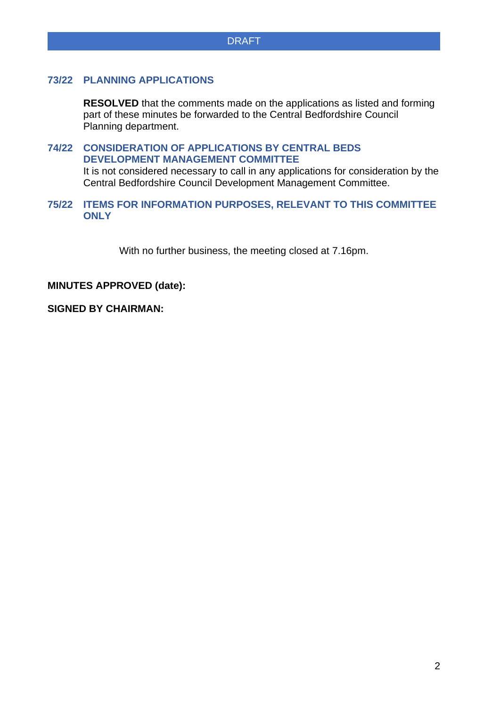## **73/22 PLANNING APPLICATIONS**

**RESOLVED** that the comments made on the applications as listed and forming part of these minutes be forwarded to the Central Bedfordshire Council Planning department.

## **74/22 CONSIDERATION OF APPLICATIONS BY CENTRAL BEDS DEVELOPMENT MANAGEMENT COMMITTEE**

It is not considered necessary to call in any applications for consideration by the Central Bedfordshire Council Development Management Committee.

## **75/22 ITEMS FOR INFORMATION PURPOSES, RELEVANT TO THIS COMMITTEE ONLY**

With no further business, the meeting closed at 7.16pm.

#### **MINUTES APPROVED (date):**

## **SIGNED BY CHAIRMAN:**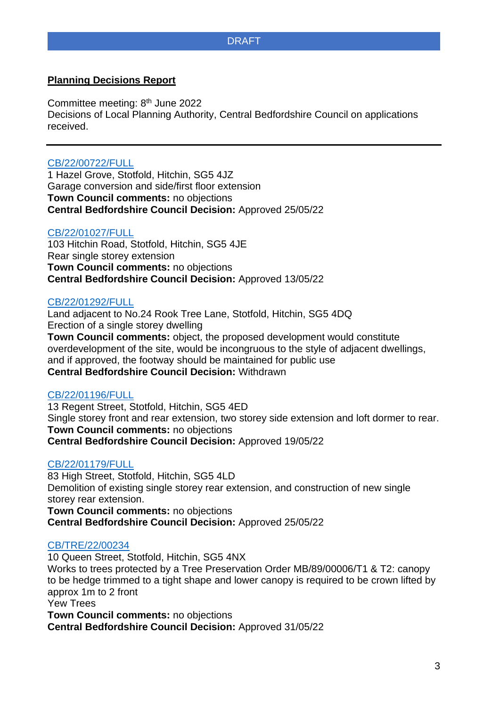## **Planning Decisions Report**

Committee meeting: 8<sup>th</sup> June 2022 Decisions of Local Planning Authority, Central Bedfordshire Council on applications received.

## [CB/22/00722/FULL](http://plantech.centralbedfordshire.gov.uk/PLANTECH/DCWebPages/acolnetcgi.gov?ACTION=UNWRAP&RIPNAME=Root.PgeResultDetail&TheSystemkey=627919)

1 Hazel Grove, Stotfold, Hitchin, SG5 4JZ Garage conversion and side/first floor extension **Town Council comments:** no objections **Central Bedfordshire Council Decision:** Approved 25/05/22

#### [CB/22/01027/FULL](http://plantech.centralbedfordshire.gov.uk/PLANTECH/DCWebPages/acolnetcgi.gov?ACTION=UNWRAP&RIPNAME=Root.PgeResultDetail&TheSystemkey=628225)

103 Hitchin Road, Stotfold, Hitchin, SG5 4JE Rear single storey extension **Town Council comments:** no objections **Central Bedfordshire Council Decision:** Approved 13/05/22

#### [CB/22/01292/FULL](http://plantech.centralbedfordshire.gov.uk/PLANTECH/DCWebPages/acolnetcgi.gov?ACTION=UNWRAP&RIPNAME=Root.PgeResultDetail&TheSystemkey=628490)

Land adjacent to No.24 Rook Tree Lane, Stotfold, Hitchin, SG5 4DQ Erection of a single storey dwelling **Town Council comments:** object, the proposed development would constitute overdevelopment of the site, would be incongruous to the style of adjacent dwellings, and if approved, the footway should be maintained for public use **Central Bedfordshire Council Decision:** Withdrawn

## [CB/22/01196/FULL](http://plantech.centralbedfordshire.gov.uk/PLANTECH/DCWebPages/acolnetcgi.gov?ACTION=UNWRAP&RIPNAME=Root.PgeResultDetail&TheSystemkey=628394)

13 Regent Street, Stotfold, Hitchin, SG5 4ED Single storey front and rear extension, two storey side extension and loft dormer to rear. **Town Council comments:** no objections **Central Bedfordshire Council Decision:** Approved 19/05/22

#### [CB/22/01179/FULL](http://plantech.centralbedfordshire.gov.uk/PLANTECH/DCWebPages/acolnetcgi.gov?ACTION=UNWRAP&RIPNAME=Root.PgeResultDetail&TheSystemkey=628377)

83 High Street, Stotfold, Hitchin, SG5 4LD Demolition of existing single storey rear extension, and construction of new single storey rear extension. **Town Council comments:** no objections **Central Bedfordshire Council Decision:** Approved 25/05/22

# [CB/TRE/22/00234](http://plantech.centralbedfordshire.gov.uk/PLANTECH/TPWebPages/acolnetcgi.exe?ACTION=UNWRAP&RIPNAME=Root.PgeTPCaseDetails&TheSystemkey=10735)

10 Queen Street, Stotfold, Hitchin, SG5 4NX Works to trees protected by a Tree Preservation Order MB/89/00006/T1 & T2: canopy to be hedge trimmed to a tight shape and lower canopy is required to be crown lifted by approx 1m to 2 front Yew Trees **Town Council comments:** no objections **Central Bedfordshire Council Decision:** Approved 31/05/22